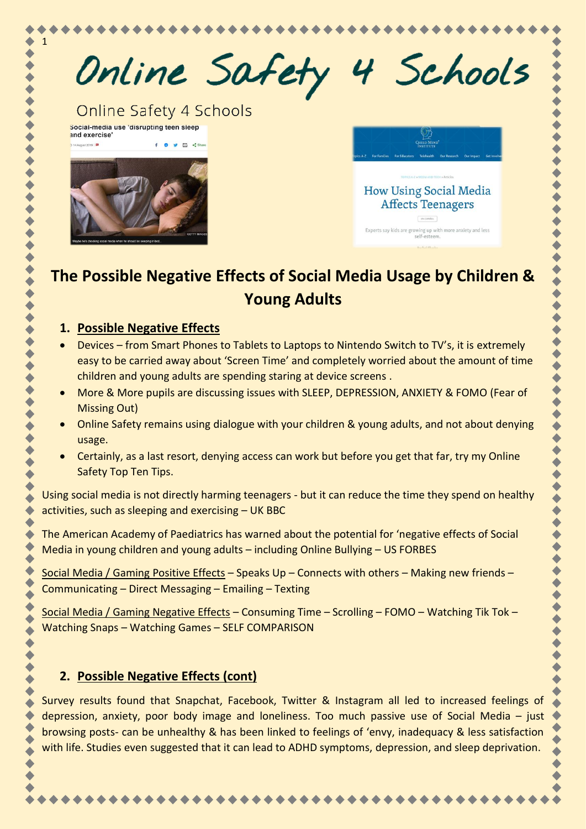

# **The Possible Negative Effects of Social Media Usage by Children & Young Adults**

#### **1. Possible Negative Effects**

- Devices from Smart Phones to Tablets to Laptops to Nintendo Switch to TV's, it is extremely easy to be carried away about 'Screen Time' and completely worried about the amount of time children and young adults are spending staring at device screens .
- More & More pupils are discussing issues with SLEEP, DEPRESSION, ANXIETY & FOMO (Fear of Missing Out)
- Online Safety remains using dialogue with your children & young adults, and not about denying usage.
- Certainly, as a last resort, denying access can work but before you get that far, try my Online Safety Top Ten Tips.

Using social media is not directly harming teenagers - but it can reduce the time they spend on healthy activities, such as sleeping and exercising – UK BBC

The American Academy of Paediatrics has warned about the potential for 'negative effects of Social Media in young children and young adults – including Online Bullying – US FORBES

Social Media / Gaming Positive Effects - Speaks Up - Connects with others - Making new friends -Communicating – Direct Messaging – Emailing – Texting

Social Media / Gaming Negative Effects – Consuming Time – Scrolling – FOMO – Watching Tik Tok – Watching Snaps – Watching Games – SELF COMPARISON

## **2. Possible Negative Effects (cont)**

Survey results found that Snapchat, Facebook, Twitter & Instagram all led to increased feelings of depression, anxiety, poor body image and loneliness. Too much passive use of Social Media – just browsing posts- can be unhealthy & has been linked to feelings of 'envy, inadequacy & less satisfaction with life. Studies even suggested that it can lead to ADHD symptoms, depression, and sleep deprivation.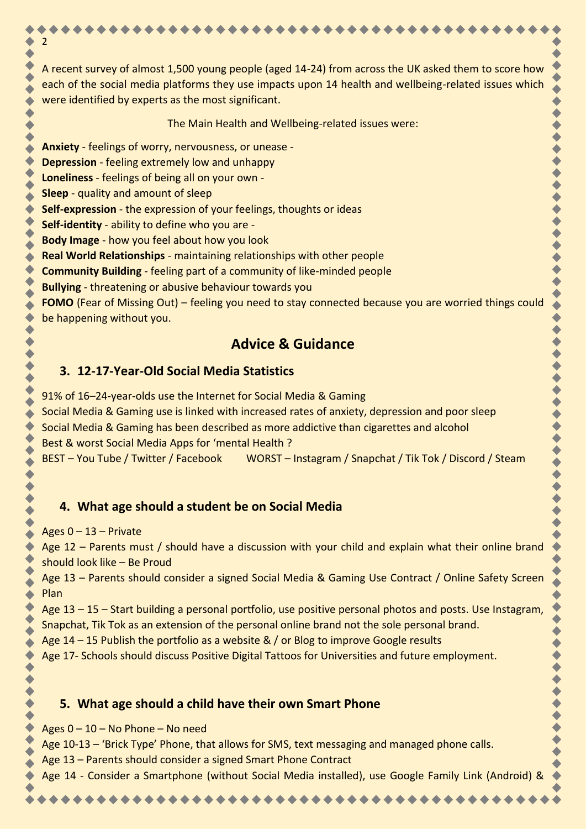A recent survey of almost 1,500 young people (aged 14-24) from across the UK asked them to score how each of the social media platforms they use impacts upon 14 health and wellbeing-related issues which were identified by experts as the most significant.

The Main Health and Wellbeing-related issues were:

**Anxiety** - feelings of worry, nervousness, or unease -

**Depression** - feeling extremely low and unhappy

**Loneliness** - feelings of being all on your own -

**Sleep** - quality and amount of sleep

2

**Self-expression** - the expression of your feelings, thoughts or ideas

**Self-identity** - ability to define who you are -

**Body Image** - how you feel about how you look

**Real World Relationships** - maintaining relationships with other people

**Community Building** - feeling part of a community of like-minded people

**Bullying** - threatening or abusive behaviour towards you

**FOMO** (Fear of Missing Out) – feeling you need to stay connected because you are worried things could be happening without you.

# **Advice & Guidance**

#### **3. 12-17-Year-Old Social Media Statistics**

91% of 16–24-year-olds use the Internet for Social Media & Gaming Social Media & Gaming use is linked with increased rates of anxiety, depression and poor sleep Social Media & Gaming has been described as more addictive than cigarettes and alcohol Best & worst Social Media Apps for 'mental Health ? BEST – You Tube / Twitter / Facebook WORST – Instagram / Snapchat / Tik Tok / Discord / Steam

## **4. What age should a student be on Social Media**

Ages  $0 - 13$  – Private

Age 12 – Parents must / should have a discussion with your child and explain what their online brand should look like – Be Proud

Age 13 – Parents should consider a signed Social Media & Gaming Use Contract / Online Safety Screen <mark>Plan</mark> – Die Staatsbesonder in die Staatsbesonder van die Staatsbesonder van die Staatsbesonder van die Staatsbe

Age 13 – 15 – Start building a personal portfolio, use positive personal photos and posts. Use Instagram, Snapchat, Tik Tok as an extension of the personal online brand not the sole personal brand.

Age 14 – 15 Publish the portfolio as a website & / or Blog to improve Google results

Age 17- Schools should discuss Positive Digital Tattoos for Universities and future employment.

## **5. What age should a child have their own Smart Phone**

Ages 0 – 10 – No Phone – No need

Age 10-13 – 'Brick Type' Phone, that allows for SMS, text messaging and managed phone calls.

Age 13 – Parents should consider a signed Smart Phone Contract

Age 14 - Consider a Smartphone (without Social Media installed), use Google Family Link (Android) &